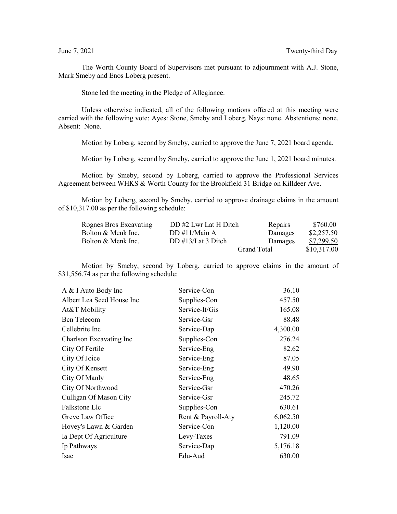The Worth County Board of Supervisors met pursuant to adjournment with A.J. Stone, Mark Smeby and Enos Loberg present.

Stone led the meeting in the Pledge of Allegiance.

Unless otherwise indicated, all of the following motions offered at this meeting were carried with the following vote: Ayes: Stone, Smeby and Loberg. Nays: none. Abstentions: none. Absent: None.

Motion by Loberg, second by Smeby, carried to approve the June 7, 2021 board agenda.

Motion by Loberg, second by Smeby, carried to approve the June 1, 2021 board minutes.

Motion by Smeby, second by Loberg, carried to approve the Professional Services Agreement between WHKS & Worth County for the Brookfield 31 Bridge on Killdeer Ave.

Motion by Loberg, second by Smeby, carried to approve drainage claims in the amount of \$10,317.00 as per the following schedule:

| Rognes Bros Excavating | DD #2 Lwr Lat H Ditch      | Repairs     | \$760.00    |
|------------------------|----------------------------|-------------|-------------|
| Bolton & Menk Inc.     | DD #11/Main $\overline{A}$ | Damages     | \$2,257.50  |
| Bolton & Menk Inc.     | DD $\#13/Lat 3$ Ditch      | Damages     | \$7,299.50  |
|                        |                            | Grand Total | \$10,317.00 |

Motion by Smeby, second by Loberg, carried to approve claims in the amount of \$31,556.74 as per the following schedule:

| A & I Auto Body Inc       | Service-Con        | 36.10    |
|---------------------------|--------------------|----------|
| Albert Lea Seed House Inc | Supplies-Con       | 457.50   |
| At&T Mobility             | Service-It/Gis     | 165.08   |
| <b>Bcn</b> Telecom        | Service-Gsr        | 88.48    |
| Cellebrite Inc            | Service-Dap        | 4,300.00 |
| Charlson Excavating Inc   | Supplies-Con       | 276.24   |
| City Of Fertile           | Service-Eng        | 82.62    |
| City Of Joice             | Service-Eng        | 87.05    |
| City Of Kensett           | Service-Eng        | 49.90    |
| City Of Manly             | Service-Eng        | 48.65    |
| City Of Northwood         | Service-Gsr        | 470.26   |
| Culligan Of Mason City    | Service-Gsr        | 245.72   |
| Falkstone Llc             | Supplies-Con       | 630.61   |
| Greve Law Office          | Rent & Payroll-Aty | 6,062.50 |
| Hovey's Lawn & Garden     | Service-Con        | 1,120.00 |
| Ia Dept Of Agriculture    | Levy-Taxes         | 791.09   |
| Ip Pathways               | Service-Dap        | 5,176.18 |
| Isac                      | Edu-Aud            | 630.00   |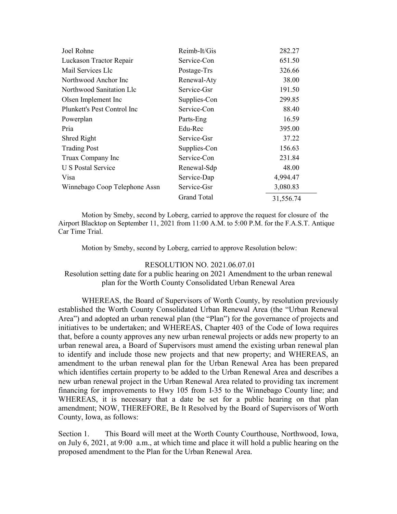| Joel Rohne                    | Reimb-It/Gis       | 282.27    |
|-------------------------------|--------------------|-----------|
| Luckason Tractor Repair       | Service-Con        | 651.50    |
| Mail Services Llc             | Postage-Trs        | 326.66    |
| Northwood Anchor Inc          | Renewal-Aty        | 38.00     |
| Northwood Sanitation Llc      | Service-Gsr        | 191.50    |
| Olsen Implement Inc           | Supplies-Con       | 299.85    |
| Plunkett's Pest Control Inc   | Service-Con        | 88.40     |
| Powerplan                     | Parts-Eng          | 16.59     |
| Pria                          | Edu-Rec            | 395.00    |
| Shred Right                   | Service-Gsr        | 37.22     |
| <b>Trading Post</b>           | Supplies-Con       | 156.63    |
| Truax Company Inc             | Service-Con        | 231.84    |
| <b>U S Postal Service</b>     | Renewal-Sdp        | 48.00     |
| Visa                          | Service-Dap        | 4,994.47  |
| Winnebago Coop Telephone Assn | Service-Gsr        | 3,080.83  |
|                               | <b>Grand Total</b> | 31,556.74 |

Motion by Smeby, second by Loberg, carried to approve the request for closure of the Airport Blacktop on September 11, 2021 from 11:00 A.M. to 5:00 P.M. for the F.A.S.T. Antique Car Time Trial.

Motion by Smeby, second by Loberg, carried to approve Resolution below:

## RESOLUTION NO. 2021.06.07.01

Resolution setting date for a public hearing on 2021 Amendment to the urban renewal plan for the Worth County Consolidated Urban Renewal Area

WHEREAS, the Board of Supervisors of Worth County, by resolution previously established the Worth County Consolidated Urban Renewal Area (the "Urban Renewal Area") and adopted an urban renewal plan (the "Plan") for the governance of projects and initiatives to be undertaken; and WHEREAS, Chapter 403 of the Code of Iowa requires that, before a county approves any new urban renewal projects or adds new property to an urban renewal area, a Board of Supervisors must amend the existing urban renewal plan to identify and include those new projects and that new property; and WHEREAS, an amendment to the urban renewal plan for the Urban Renewal Area has been prepared which identifies certain property to be added to the Urban Renewal Area and describes a new urban renewal project in the Urban Renewal Area related to providing tax increment financing for improvements to Hwy 105 from I-35 to the Winnebago County line; and WHEREAS, it is necessary that a date be set for a public hearing on that plan amendment; NOW, THEREFORE, Be It Resolved by the Board of Supervisors of Worth County, Iowa, as follows:

Section 1. This Board will meet at the Worth County Courthouse, Northwood, Iowa, on July 6, 2021, at 9:00 a.m., at which time and place it will hold a public hearing on the proposed amendment to the Plan for the Urban Renewal Area.